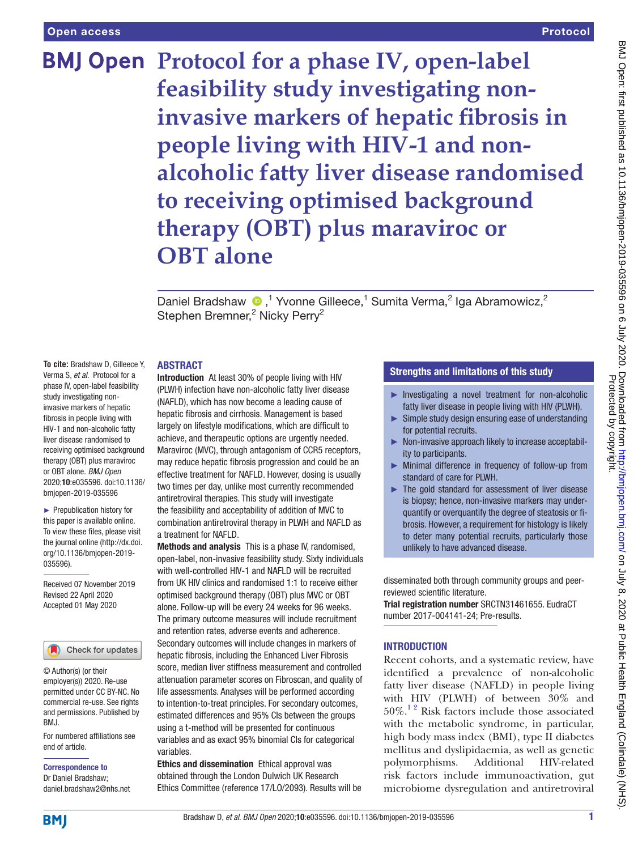## Protocol

**BMJ Open** Protocol for a phase IV, open-label **feasibility study investigating noninvasive markers of hepatic fibrosis in people living with HIV-1 and nonalcoholic fatty liver disease randomised to receiving optimised background therapy (OBT) plus maraviroc or OBT alone**

> DanielBradshaw  $\bullet$ ,<sup>1</sup> Yvonne Gilleece,<sup>1</sup> Sumita Verma,<sup>2</sup> Iga Abramowicz,<sup>2</sup> Stephen Bremner,<sup>2</sup> Nicky Perry<sup>2</sup>

### **ABSTRACT**

**To cite:** Bradshaw D, Gilleece Y, Verma S, *et al*. Protocol for a phase IV, open-label feasibility study investigating noninvasive markers of hepatic fibrosis in people living with HIV-1 and non-alcoholic fatty liver disease randomised to receiving optimised background therapy (OBT) plus maraviroc or OBT alone. *BMJ Open* 2020;10:e035596. doi:10.1136/ bmjopen-2019-035596

► Prepublication history for this paper is available online. To view these files, please visit the journal online (http://dx.doi. org/10.1136/bmjopen-2019- 035596).

Received 07 November 2019 Revised 22 April 2020 Accepted 01 May 2020



© Author(s) (or their employer(s)) 2020. Re-use permitted under CC BY-NC. No commercial re-use. See rights and permissions. Published by BMJ.

For numbered affiliations see end of article.

Correspondence to Dr Daniel Bradshaw; daniel.bradshaw2@nhs.net Introduction At least 30% of people living with HIV (PLWH) infection have non-alcoholic fatty liver disease (NAFLD), which has now become a leading cause of hepatic fibrosis and cirrhosis. Management is based largely on lifestyle modifications, which are difficult to achieve, and therapeutic options are urgently needed. Maraviroc (MVC), through antagonism of CCR5 receptors, may reduce hepatic fibrosis progression and could be an effective treatment for NAFLD. However, dosing is usually two times per day, unlike most currently recommended antiretroviral therapies. This study will investigate the feasibility and acceptability of addition of MVC to combination antiretroviral therapy in PLWH and NAFLD as a treatment for NAFLD.

Methods and analysis This is a phase IV, randomised, open-label, non-invasive feasibility study. Sixty individuals with well-controlled HIV-1 and NAFLD will be recruited from UK HIV clinics and randomised 1:1 to receive either optimised background therapy (OBT) plus MVC or OBT alone. Follow-up will be every 24 weeks for 96 weeks. The primary outcome measures will include recruitment and retention rates, adverse events and adherence. Secondary outcomes will include changes in markers of hepatic fibrosis, including the Enhanced Liver Fibrosis score, median liver stiffness measurement and controlled attenuation parameter scores on Fibroscan, and quality of life assessments. Analyses will be performed according to intention-to-treat principles. For secondary outcomes, estimated differences and 95% CIs between the groups using a t-method will be presented for continuous variables and as exact 95% binomial CIs for categorical variables.

Ethics and dissemination Ethical approval was obtained through the London Dulwich UK Research Ethics Committee (reference 17/LO/2093). Results will be

# Strengths and limitations of this study

- ► Investigating a novel treatment for non-alcoholic fatty liver disease in people living with HIV (PLWH).
- $\blacktriangleright$  Simple study design ensuring ease of understanding for potential recruits.
- ► Non-invasive approach likely to increase acceptability to participants.
- ► Minimal difference in frequency of follow-up from standard of care for PLWH.
- ► The gold standard for assessment of liver disease is biopsy; hence, non-invasive markers may underquantify or overquantify the degree of steatosis or fibrosis. However, a requirement for histology is likely to deter many potential recruits, particularly those unlikely to have advanced disease.

disseminated both through community groups and peerreviewed scientific literature.

Trial registration number SRCTN31461655. EudraCT number 2017-004141-24; Pre-results.

## **INTRODUCTION**

Recent cohorts, and a systematic review, have identified a prevalence of non-alcoholic fatty liver disease (NAFLD) in people living with HIV (PLWH) of between 30% and  $50\%$ .<sup>12</sup> Risk factors include those associated with the metabolic syndrome, in particular, high body mass index (BMI), type II diabetes mellitus and dyslipidaemia, as well as genetic polymorphisms. Additional HIV-related risk factors include immunoactivation, gut microbiome dysregulation and antiretroviral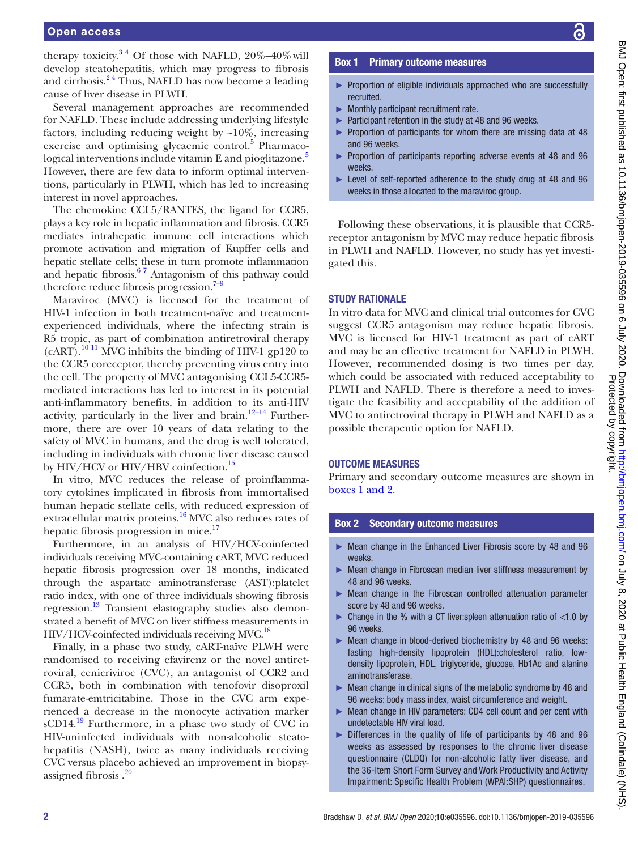therapy toxicity. $3^4$  Of those with NAFLD,  $20\% - 40\%$  will develop steatohepatitis, which may progress to fibrosis and cirrhosis. $2<sup>4</sup>$  Thus, NAFLD has now become a leading cause of liver disease in PLWH.

Several management approaches are recommended for NAFLD. These include addressing underlying lifestyle factors, including reducing weight by  $\sim 10\%$ , increasing exercise and optimising glycaemic control.<sup>[5](#page-8-3)</sup> Pharmaco-logical interventions include vitamin E and pioglitazone.<sup>[5](#page-8-3)</sup> However, there are few data to inform optimal interventions, particularly in PLWH, which has led to increasing interest in novel approaches.

The chemokine CCL5/RANTES, the ligand for CCR5, plays a key role in hepatic inflammation and fibrosis. CCR5 mediates intrahepatic immune cell interactions which promote activation and migration of Kupffer cells and hepatic stellate cells; these in turn promote inflammation and hepatic fibrosis.[6 7](#page-8-4) Antagonism of this pathway could therefore reduce fibrosis progression. $7-9$ 

Maraviroc (MVC) is licensed for the treatment of HIV-1 infection in both treatment-naïve and treatmentexperienced individuals, where the infecting strain is R5 tropic, as part of combination antiretroviral therapy  $(cART)$ .<sup>10 11</sup> MVC inhibits the binding of HIV-1 gp120 to the CCR5 coreceptor, thereby preventing virus entry into the cell. The property of MVC antagonising CCL5-CCR5 mediated interactions has led to interest in its potential anti-inflammatory benefits, in addition to its anti-HIV activity, particularly in the liver and brain. $12-14$  Furthermore, there are over 10 years of data relating to the safety of MVC in humans, and the drug is well tolerated, including in individuals with chronic liver disease caused by HIV/HCV or HIV/HBV coinfection.<sup>[15](#page-8-8)</sup>

In vitro, MVC reduces the release of proinflammatory cytokines implicated in fibrosis from immortalised human hepatic stellate cells, with reduced expression of extracellular matrix proteins[.16](#page-8-9) MVC also reduces rates of hepatic fibrosis progression in mice. $17$ 

Furthermore, in an analysis of HIV/HCV-coinfected individuals receiving MVC-containing cART, MVC reduced hepatic fibrosis progression over 18 months, indicated through the aspartate aminotransferase (AST):platelet ratio index, with one of three individuals showing fibrosis regression[.13](#page-8-11) Transient elastography studies also demonstrated a benefit of MVC on liver stiffness measurements in HIV/HCV-coinfected individuals receiving MVC.<sup>18</sup>

Finally, in a phase two study, cART-naïve PLWH were randomised to receiving efavirenz or the novel antiretroviral, cenicriviroc (CVC), an antagonist of CCR2 and CCR5, both in combination with tenofovir disoproxil fumarate-emtricitabine. Those in the CVC arm experienced a decrease in the monocyte activation marker  $sCD14<sup>19</sup>$  Furthermore, in a phase two study of CVC in HIV-uninfected individuals with non-alcoholic steatohepatitis (NASH), twice as many individuals receiving CVC versus placebo achieved an improvement in biopsyassigned fibrosis [.20](#page-8-14)

## Box 1 Primary outcome measures

- <span id="page-1-0"></span>► Proportion of eligible individuals approached who are successfully recruited.
- ► Monthly participant recruitment rate.
- ► Participant retention in the study at 48 and 96 weeks. ► Proportion of participants for whom there are missing data at 48
- and 96 weeks. ► Proportion of participants reporting adverse events at 48 and 96 weeks.
- ► Level of self-reported adherence to the study drug at 48 and 96 weeks in those allocated to the maraviroc group.

Following these observations, it is plausible that CCR5 receptor antagonism by MVC may reduce hepatic fibrosis in PLWH and NAFLD. However, no study has yet investigated this.

## **STUDY RATIONALE**

In vitro data for MVC and clinical trial outcomes for CVC suggest CCR5 antagonism may reduce hepatic fibrosis. MVC is licensed for HIV-1 treatment as part of cART and may be an effective treatment for NAFLD in PLWH. However, recommended dosing is two times per day, which could be associated with reduced acceptability to PLWH and NAFLD. There is therefore a need to investigate the feasibility and acceptability of the addition of MVC to antiretroviral therapy in PLWH and NAFLD as a possible therapeutic option for NAFLD.

### Outcome measures

Primary and secondary outcome measures are shown in boxes [1 and 2.](#page-1-0)

## Box 2 Secondary outcome measures

- <span id="page-1-1"></span>► Mean change in the Enhanced Liver Fibrosis score by 48 and 96 weeks.
- ► Mean change in Fibroscan median liver stiffness measurement by 48 and 96 weeks.
- ► Mean change in the Fibroscan controlled attenuation parameter score by 48 and 96 weeks.
- $\triangleright$  Change in the % with a CT liver: spleen attenuation ratio of <1.0 by 96 weeks.
- Mean change in blood-derived biochemistry by 48 and 96 weeks: fasting high-density lipoprotein (HDL):cholesterol ratio, lowdensity lipoprotein, HDL, triglyceride, glucose, Hb1Ac and alanine aminotransferase.
- Mean change in clinical signs of the metabolic syndrome by 48 and 96 weeks: body mass index, waist circumference and weight.
- ► Mean change in HIV parameters: CD4 cell count and per cent with undetectable HIV viral load.
- ► Differences in the quality of life of participants by 48 and 96 weeks as assessed by responses to the chronic liver disease questionnaire (CLDQ) for non-alcoholic fatty liver disease, and the 36-Item Short Form Survey and Work Productivity and Activity Impairment: Specific Health Problem (WPAI:SHP) questionnaires.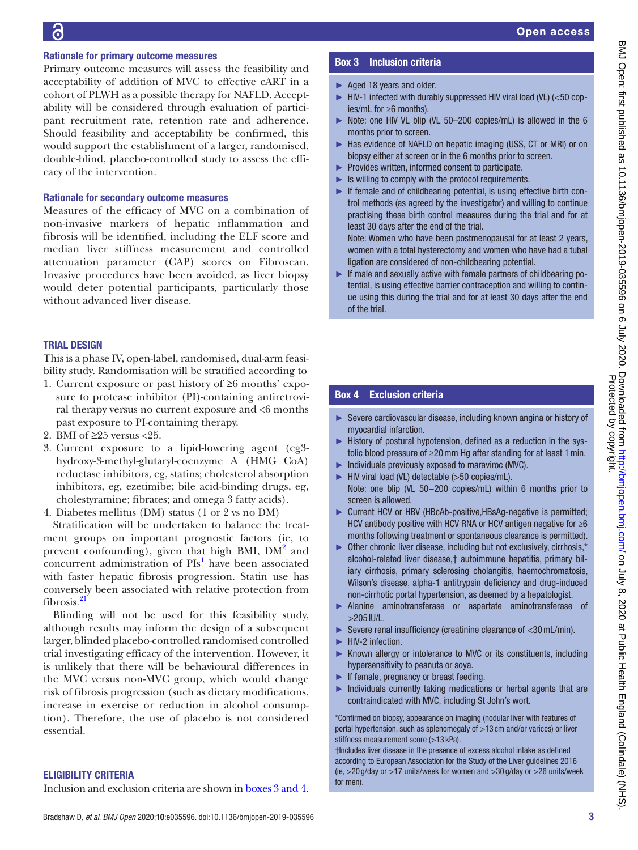## Rationale for primary outcome measures

Primary outcome measures will assess the feasibility and acceptability of addition of MVC to effective cART in a cohort of PLWH as a possible therapy for NAFLD. Acceptability will be considered through evaluation of participant recruitment rate, retention rate and adherence. Should feasibility and acceptability be confirmed, this would support the establishment of a larger, randomised, double-blind, placebo-controlled study to assess the efficacy of the intervention.

## Rationale for secondary outcome measures

Measures of the efficacy of MVC on a combination of non-invasive markers of hepatic inflammation and fibrosis will be identified, including the ELF score and median liver stiffness measurement and controlled attenuation parameter (CAP) scores on Fibroscan. Invasive procedures have been avoided, as liver biopsy would deter potential participants, particularly those without advanced liver disease.

## **TRIAL DESIGN**

This is a phase IV, open-label, randomised, dual-arm feasibility study. Randomisation will be stratified according to

- 1. Current exposure or past history of ≥6 months' exposure to protease inhibitor (PI)-containing antiretroviral therapy versus no current exposure and <6 months past exposure to PI-containing therapy.
- 2. BMI of  $\geq$  25 versus <25.
- 3. Current exposure to a lipid-lowering agent (eg3 hydroxy-3-methyl-glutaryl-coenzyme A (HMG CoA) reductase inhibitors, eg, statins; cholesterol absorption inhibitors, eg, ezetimibe; bile acid-binding drugs, eg, cholestyramine; fibrates; and omega 3 fatty acids).
- 4. Diabetes mellitus (DM) status (1 or 2 vs no DM)

Stratification will be undertaken to balance the treatment groups on important prognostic factors (ie, to prevent confounding), given that high BMI, DM<sup>[2](#page-8-2)</sup> and concurrent administration of  $PIs<sup>1</sup>$  $PIs<sup>1</sup>$  $PIs<sup>1</sup>$  have been associated with faster hepatic fibrosis progression. Statin use has conversely been associated with relative protection from fibrosis.<sup>[21](#page-8-15)</sup>

Blinding will not be used for this feasibility study, although results may inform the design of a subsequent larger, blinded placebo-controlled randomised controlled trial investigating efficacy of the intervention. However, it is unlikely that there will be behavioural differences in the MVC versus non-MVC group, which would change risk of fibrosis progression (such as dietary modifications, increase in exercise or reduction in alcohol consumption). Therefore, the use of placebo is not considered essential.

## Eligibility criteria

Inclusion and exclusion criteria are shown in boxes [3 and 4.](#page-2-0)

# Box 3 Inclusion criteria

- <span id="page-2-0"></span>► Aged 18 years and older.
- ► HIV-1 infected with durably suppressed HIV viral load (VL) (<50 copies/mL for ≥6 months).
- ► Note: one HIV VL blip (VL 50–200 copies/mL) is allowed in the 6 months prior to screen.
- ► Has evidence of NAFLD on hepatic imaging (USS, CT or MRI) or on biopsy either at screen or in the 6 months prior to screen.
- ► Provides written, informed consent to participate.
- ► Is willing to comply with the protocol requirements.
- ► If female and of childbearing potential, is using effective birth control methods (as agreed by the investigator) and willing to continue practising these birth control measures during the trial and for at least 30 days after the end of the trial.

Note: Women who have been postmenopausal for at least 2 years, women with a total hysterectomy and women who have had a tubal ligation are considered of non-childbearing potential.

 $\blacktriangleright$  If male and sexually active with female partners of childbearing potential, is using effective barrier contraception and willing to continue using this during the trial and for at least 30 days after the end of the trial.

# Box 4 Exclusion criteria

- ► Severe cardiovascular disease, including known angina or history of myocardial infarction.
- ► History of postural hypotension, defined as a reduction in the systolic blood pressure of ≥20mm Hg after standing for at least 1min.
- ► Individuals previously exposed to maraviroc (MVC).
- ► HIV viral load (VL) detectable (>50 copies/mL). Note: one blip (VL 50−200 copies/mL) within 6 months prior to screen is allowed.
- ► Current HCV or HBV (HBcAb-positive,HBsAg-negative is permitted; HCV antibody positive with HCV RNA or HCV antigen negative for  $\geq 6$ months following treatment or spontaneous clearance is permitted).
- ► Other chronic liver disease, including but not exclusively, cirrhosis,\* alcohol-related liver disease,† autoimmune hepatitis, primary biliary cirrhosis, primary sclerosing cholangitis, haemochromatosis, Wilson's disease, alpha-1 antitrypsin deficiency and drug-induced non-cirrhotic portal hypertension, as deemed by a hepatologist.
- ► Alanine aminotransferase or aspartate aminotransferase of >205 IU/L.
- ► Severe renal insufficiency (creatinine clearance of <30mL/min).
- ► HIV-2 infection.
- ► Known allergy or intolerance to MVC or its constituents, including hypersensitivity to peanuts or soya.
- ► If female, pregnancy or breast feeding.
- ► Individuals currently taking medications or herbal agents that are contraindicated with MVC, including St John's wort.

\*Confirmed on biopsy, appearance on imaging (nodular liver with features of portal hypertension, such as splenomegaly of >13 cm and/or varices) or liver stiffness measurement score (>13 kPa).

†Includes liver disease in the presence of excess alcohol intake as defined according to European Association for the Study of the Liver guidelines 2016 (ie, >20 g/day or >17 units/week for women and >30 g/day or >26 units/week for men).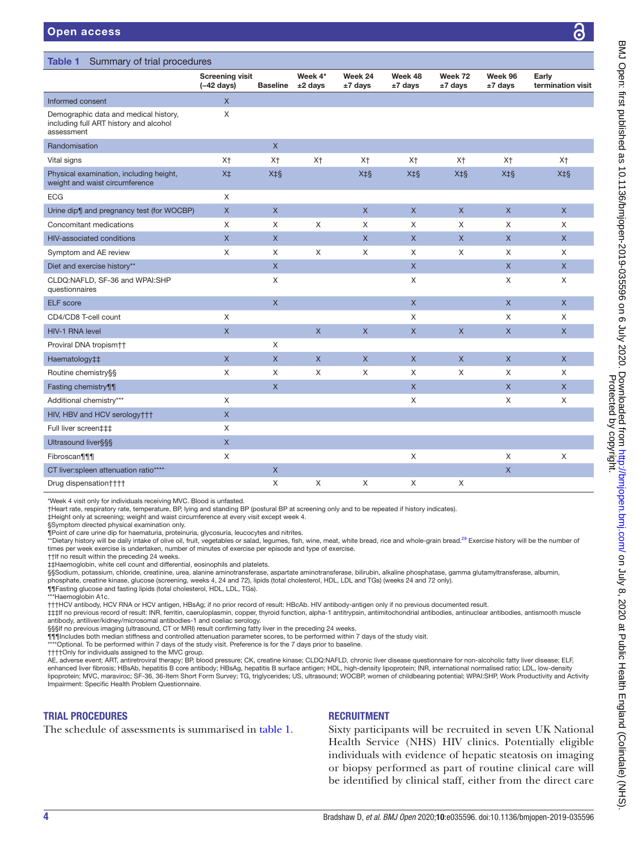questionnaires

Urine dip¶ and pregnancy test (for

CLDQ:NAFLD, SF-36 and WPAI:SHP

<span id="page-3-0"></span>

| <b>Open access</b>                                                                            |                                                |                 |                      |                    |                    |                      |                    | 3                          |  |
|-----------------------------------------------------------------------------------------------|------------------------------------------------|-----------------|----------------------|--------------------|--------------------|----------------------|--------------------|----------------------------|--|
|                                                                                               |                                                |                 |                      |                    |                    |                      |                    |                            |  |
| Summary of trial procedures<br>Table 1                                                        |                                                |                 |                      |                    |                    |                      |                    |                            |  |
|                                                                                               | <b>Screening visit</b><br>$(-42 \text{ days})$ | <b>Baseline</b> | Week 4*<br>$±2$ days | Week 24<br>±7 days | Week 48<br>±7 days | Week 72<br>$±7$ days | Week 96<br>±7 days | Early<br>termination visit |  |
| Informed consent                                                                              | $\times$                                       |                 |                      |                    |                    |                      |                    |                            |  |
| Demographic data and medical history,<br>including full ART history and alcohol<br>assessment | X                                              |                 |                      |                    |                    |                      |                    |                            |  |
| Randomisation                                                                                 |                                                | X               |                      |                    |                    |                      |                    |                            |  |
| Vital signs                                                                                   | X <sup>+</sup>                                 | X <sup>†</sup>  | X <sup>+</sup>       | X <sup>+</sup>     | X <sup>+</sup>     | X <sup>+</sup>       | X <sup>+</sup>     | X <sup>†</sup>             |  |
| Physical examination, including height,<br>weight and waist circumference                     | X <sup>‡</sup>                                 | $X+S$           |                      | $X+S$              | $X+S$              | X‡§                  | $X+S$              | $X+S$                      |  |
| <b>ECG</b>                                                                                    | X                                              |                 |                      |                    |                    |                      |                    |                            |  |
| Urine dip¶ and pregnancy test (for WOCBP)                                                     | X                                              | X               |                      | $\times$           | X                  | X                    | $\mathsf{x}$       | X                          |  |

 $\times$  X  $\times$  X  $\times$ 

\*Week 4 visit only for individuals receiving MVC. Blood is unfasted.

HIV, HBV and HCV serology††† X Full liver screen‡‡‡ X Ultrasound liver§§§ X

Proviral DNA tropism†† X

†Heart rate, respiratory rate, temperature, BP, lying and standing BP (postural BP at screening only and to be repeated if history indicates).

Drug dispensation†††† X X X X X

‡Height only at screening; weight and waist circumference at every visit except week 4.

§Symptom directed physical examination only.

¶Point of care urine dip for haematuria, proteinuria, glycosuria, leucocytes and nitrites.

\*\*Dietary history will be daily intake of olive oil, fruit, vegetables or salad, legumes, fish, wine, meat, white bread, rice and whole-grain bread.<sup>29</sup> Exercise history will be the number of times per week exercise is undertaken, number of minutes of exercise per episode and type of exercise.

Concomitant medications 
x
 x x x x x x x x x HIV-associated conditions X X X X X X X X X X X X Symptom and AE review **X** X X X X X X X X X X Diet and exercise history\*\* X X X X

ELF score X X X X CD4/CD8 T-cell count  $X$  X X X X HIV-1 RNA level X X X X X X X

Haematology‡‡ X X X X X X X X Routine chemistry§§ The Content of Arrow Content Content Content Content Content Content Content Content Content Content Content Content Content Content Content Content Content Content Content Content Content Content Conte Fasting chemistry¶¶ X X X X Additional chemistry\*\*\* X X X X

Fibroscan¶¶¶ X X X X

CT liver:spleen attenuation ratio\*\*\*\* X X

††If no result within the preceding 24 weeks.

‡‡Haemoglobin, white cell count and differential, eosinophils and platelets.

§§Sodium, potassium, chloride, creatinine, urea, alanine aminotransferase, aspartate aminotransferase, bilirubin, alkaline phosphatase, qamma qlutamyltransferase, albumin,

phosphate, creatine kinase, glucose (screening, weeks 4, 24 and 72), lipids (total cholesterol, HDL, LDL and TGs) (weeks 24 and 72 only).

¶¶Fasting glucose and fasting lipids (total cholesterol, HDL, LDL, TGs).

\*\*\*Haemoglobin A1c.

†††HCV antibody, HCV RNA or HCV antigen, HBsAg; if no prior record of result: HBcAb. HIV antibody-antigen only if no previous documented result.

‡‡‡If no previous record of result: INR, ferritin, caeruloplasmin, copper, thyroid function, alpha-1 antitrypsin, antimitochondrial antibodies, antinuclear antibodies, antismooth muscle antibody, antiliver/kidney/microsomal antibodies-1 and coeliac serology.

§§§If no previous imaging (ultrasound, CT or MRI) result confirming fatty liver in the preceding 24 weeks.

¶¶¶Includes both median stiffness and controlled attenuation parameter scores, to be performed within 7 days of the study visit.

\*\*\*Optional. To be performed within 7 days of the study visit. Preference is for the 7 days prior to baseline.

††††Only for individuals assigned to the MVC group.

AE, adverse event; ART, antiretroviral therapy; BP, blood pressure; CK, creatine kinase; CLDQ:NAFLD, chronic liver disease questionnaire for non-alcoholic fatty liver disease; ELF, enhanced liver fibrosis; HBsAb, hepatitis B core antibody; HBsAg, hepatitis B surface antigen; HDL, high-density lipoprotein; INR, international normalised ratio; LDL, low-density lipoprotein; MVC, maraviroc; SF-36, 36-Item Short Form Survey; TG, triglycerides; US, ultrasound; WOCBP, women of childbearing potential; WPAI:SHP, Work Productivity and Activity Impairment: Specific Health Problem Questionnaire.

## Trial procedures

The schedule of assessments is summarised in [table](#page-3-0) 1.

### **RECRUITMENT**

Sixty participants will be recruited in seven UK National Health Service (NHS) HIV clinics. Potentially eligible individuals with evidence of hepatic steatosis on imaging or biopsy performed as part of routine clinical care will be identified by clinical staff, either from the direct care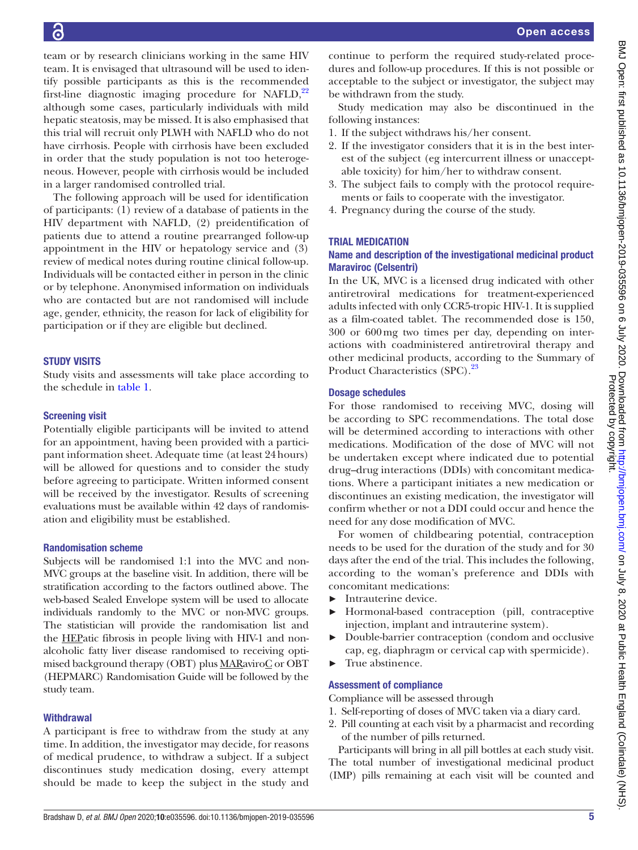team or by research clinicians working in the same HIV team. It is envisaged that ultrasound will be used to identify possible participants as this is the recommended first-line diagnostic imaging procedure for NAFLD, $^{22}$ although some cases, particularly individuals with mild hepatic steatosis, may be missed. It is also emphasised that this trial will recruit only PLWH with NAFLD who do not have cirrhosis. People with cirrhosis have been excluded in order that the study population is not too heterogeneous. However, people with cirrhosis would be included in a larger randomised controlled trial.

The following approach will be used for identification of participants: (1) review of a database of patients in the HIV department with NAFLD, (2) preidentification of patients due to attend a routine prearranged follow-up appointment in the HIV or hepatology service and (3) review of medical notes during routine clinical follow-up. Individuals will be contacted either in person in the clinic or by telephone. Anonymised information on individuals who are contacted but are not randomised will include age, gender, ethnicity, the reason for lack of eligibility for participation or if they are eligible but declined.

# **STUDY VISITS**

Study visits and assessments will take place according to the schedule in [table](#page-3-0) 1.

# Screening visit

Potentially eligible participants will be invited to attend for an appointment, having been provided with a participant information sheet. Adequate time (at least 24hours) will be allowed for questions and to consider the study before agreeing to participate. Written informed consent will be received by the investigator. Results of screening evaluations must be available within 42 days of randomisation and eligibility must be established.

# Randomisation scheme

Subjects will be randomised 1:1 into the MVC and non-MVC groups at the baseline visit. In addition, there will be stratification according to the factors outlined above. The web-based Sealed Envelope system will be used to allocate individuals randomly to the MVC or non-MVC groups. The statistician will provide the randomisation list and the HEPatic fibrosis in people living with HIV-1 and nonalcoholic fatty liver disease randomised to receiving optimised background therapy (OBT) plus MARaviroC or OBT (HEPMARC) Randomisation Guide will be followed by the study team.

# **Withdrawal**

A participant is free to withdraw from the study at any time. In addition, the investigator may decide, for reasons of medical prudence, to withdraw a subject. If a subject discontinues study medication dosing, every attempt should be made to keep the subject in the study and

continue to perform the required study-related procedures and follow-up procedures. If this is not possible or acceptable to the subject or investigator, the subject may be withdrawn from the study.

Study medication may also be discontinued in the following instances:

- 1. If the subject withdraws his/her consent.
- 2. If the investigator considers that it is in the best interest of the subject (eg intercurrent illness or unacceptable toxicity) for him/her to withdraw consent.
- 3. The subject fails to comply with the protocol requirements or fails to cooperate with the investigator.
- 4. Pregnancy during the course of the study.

# Trial medication

# Name and description of the investigational medicinal product Maraviroc (Celsentri)

In the UK, MVC is a licensed drug indicated with other antiretroviral medications for treatment-experienced adults infected with only CCR5-tropic HIV-1. It is supplied as a film-coated tablet. The recommended dose is 150, 300 or 600mg two times per day, depending on interactions with coadministered antiretroviral therapy and other medicinal products, according to the Summary of Product Characteristics (SPC).<sup>[23](#page-8-18)</sup>

# Dosage schedules

For those randomised to receiving MVC, dosing will be according to SPC recommendations. The total dose will be determined according to interactions with other medications. Modification of the dose of MVC will not be undertaken except where indicated due to potential drug–drug interactions (DDIs) with concomitant medications. Where a participant initiates a new medication or discontinues an existing medication, the investigator will confirm whether or not a DDI could occur and hence the need for any dose modification of MVC.

For women of childbearing potential, contraception needs to be used for the duration of the study and for 30 days after the end of the trial. This includes the following, according to the woman's preference and DDIs with concomitant medications:

- ► Intrauterine device.
- ► Hormonal-based contraception (pill, contraceptive injection, implant and intrauterine system).
- ► Double-barrier contraception (condom and occlusive cap, eg, diaphragm or cervical cap with spermicide).
- ► True abstinence.

# Assessment of compliance

Compliance will be assessed through

- 1. Self-reporting of doses of MVC taken via a diary card.
- 2. Pill counting at each visit by a pharmacist and recording of the number of pills returned.

Participants will bring in all pill bottles at each study visit. The total number of investigational medicinal product (IMP) pills remaining at each visit will be counted and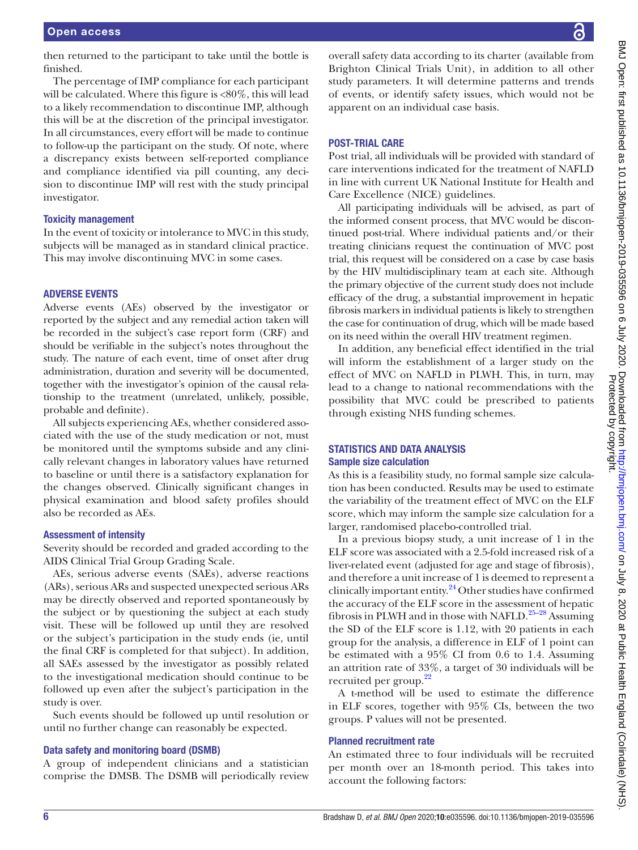then returned to the participant to take until the bottle is finished.

The percentage of IMP compliance for each participant will be calculated. Where this figure is <80%, this will lead to a likely recommendation to discontinue IMP, although this will be at the discretion of the principal investigator. In all circumstances, every effort will be made to continue to follow-up the participant on the study. Of note, where a discrepancy exists between self-reported compliance and compliance identified via pill counting, any decision to discontinue IMP will rest with the study principal investigator.

### Toxicity management

In the event of toxicity or intolerance to MVC in this study, subjects will be managed as in standard clinical practice. This may involve discontinuing MVC in some cases.

### Adverse events

Adverse events (AEs) observed by the investigator or reported by the subject and any remedial action taken will be recorded in the subject's case report form (CRF) and should be verifiable in the subject's notes throughout the study. The nature of each event, time of onset after drug administration, duration and severity will be documented, together with the investigator's opinion of the causal relationship to the treatment (unrelated, unlikely, possible, probable and definite).

All subjects experiencing AEs, whether considered associated with the use of the study medication or not, must be monitored until the symptoms subside and any clinically relevant changes in laboratory values have returned to baseline or until there is a satisfactory explanation for the changes observed. Clinically significant changes in physical examination and blood safety profiles should also be recorded as AEs.

### Assessment of intensity

Severity should be recorded and graded according to the AIDS Clinical Trial Group Grading Scale.

AEs, serious adverse events (SAEs), adverse reactions (ARs), serious ARs and suspected unexpected serious ARs may be directly observed and reported spontaneously by the subject or by questioning the subject at each study visit. These will be followed up until they are resolved or the subject's participation in the study ends (ie, until the final CRF is completed for that subject). In addition, all SAEs assessed by the investigator as possibly related to the investigational medication should continue to be followed up even after the subject's participation in the study is over.

Such events should be followed up until resolution or until no further change can reasonably be expected.

### Data safety and monitoring board (DSMB)

A group of independent clinicians and a statistician comprise the DMSB. The DSMB will periodically review overall safety data according to its charter (available from Brighton Clinical Trials Unit), in addition to all other study parameters. It will determine patterns and trends of events, or identify safety issues, which would not be apparent on an individual case basis.

## Post-trial care

Post trial, all individuals will be provided with standard of care interventions indicated for the treatment of NAFLD in line with current UK National Institute for Health and Care Excellence (NICE) guidelines.

All participating individuals will be advised, as part of the informed consent process, that MVC would be discontinued post-trial. Where individual patients and/or their treating clinicians request the continuation of MVC post trial, this request will be considered on a case by case basis by the HIV multidisciplinary team at each site. Although the primary objective of the current study does not include efficacy of the drug, a substantial improvement in hepatic fibrosis markers in individual patients is likely to strengthen the case for continuation of drug, which will be made based on its need within the overall HIV treatment regimen.

In addition, any beneficial effect identified in the trial will inform the establishment of a larger study on the effect of MVC on NAFLD in PLWH. This, in turn, may lead to a change to national recommendations with the possibility that MVC could be prescribed to patients through existing NHS funding schemes.

## Statistics and data analysis Sample size calculation

As this is a feasibility study, no formal sample size calculation has been conducted. Results may be used to estimate the variability of the treatment effect of MVC on the ELF score, which may inform the sample size calculation for a larger, randomised placebo-controlled trial.

In a previous biopsy study, a unit increase of 1 in the ELF score was associated with a 2.5-fold increased risk of a liver-related event (adjusted for age and stage of fibrosis), and therefore a unit increase of 1 is deemed to represent a clinically important entity. [24](#page-8-19) Other studies have confirmed the accuracy of the ELF score in the assessment of hepatic fibrosis in PLWH and in those with NAFLD.<sup>25–28</sup> Assuming the SD of the ELF score is 1.12, with 20 patients in each group for the analysis, a difference in ELF of 1 point can be estimated with a 95% CI from 0.6 to 1.4. Assuming an attrition rate of 33%, a target of 30 individuals will be recruited per group.<sup>22</sup>

A t-method will be used to estimate the difference in ELF scores, together with 95% CIs, between the two groups. P values will not be presented.

## Planned recruitment rate

An estimated three to four individuals will be recruited per month over an 18-month period. This takes into account the following factors: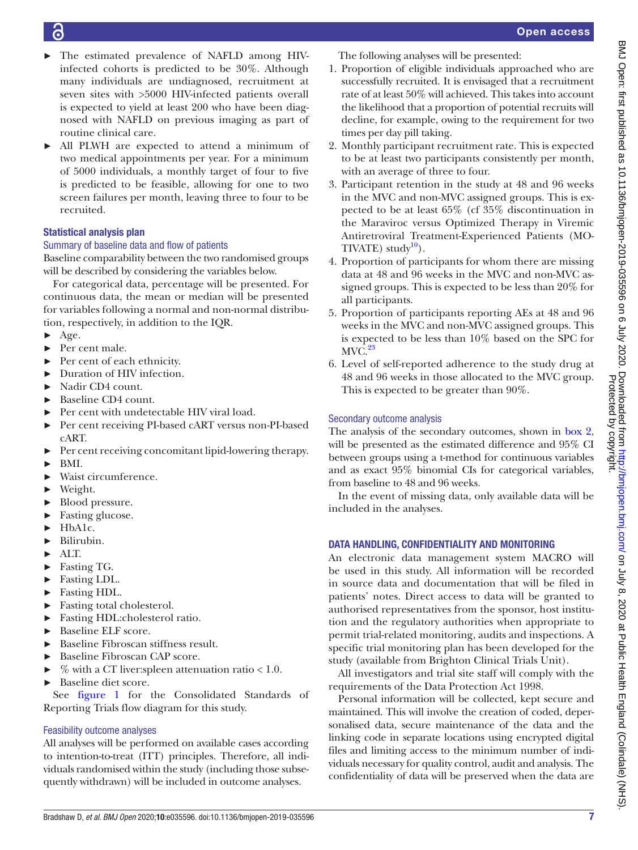- The estimated prevalence of NAFLD among HIVinfected cohorts is predicted to be 30%. Although many individuals are undiagnosed, recruitment at seven sites with >5000 HIV-infected patients overall is expected to yield at least 200 who have been diagnosed with NAFLD on previous imaging as part of routine clinical care.
- All PLWH are expected to attend a minimum of two medical appointments per year. For a minimum of 5000 individuals, a monthly target of four to five is predicted to be feasible, allowing for one to two screen failures per month, leaving three to four to be recruited.

# Statistical analysis plan

# Summary of baseline data and flow of patients

Baseline comparability between the two randomised groups will be described by considering the variables below.

For categorical data, percentage will be presented. For continuous data, the mean or median will be presented for variables following a normal and non-normal distribution, respectively, in addition to the IQR.

- $\blacktriangleright$  Age.
- Per cent male.
- ► Per cent of each ethnicity.
- ► Duration of HIV infection.
- ► Nadir CD4 count.
- Baseline CD4 count.
- Per cent with undetectable HIV viral load.
- ► Per cent receiving PI-based cART versus non-PI-based cART.
- ► Per cent receiving concomitant lipid-lowering therapy.
- ► BMI.
- Waist circumference.
- ► Weight.
- ► Blood pressure.
- ► Fasting glucose.
- ► HbA1c.
- Bilirubin.
- $ATT$
- Fasting TG.
- ► Fasting LDL.
- ► Fasting HDL.
- ► Fasting total cholesterol.
- ► Fasting HDL:cholesterol ratio.
- ► Baseline ELF score.
- ► Baseline Fibroscan stiffness result.
- Baseline Fibroscan CAP score.
- $%$  with a CT liver:spleen attenuation ratio < 1.0.
- Baseline diet score.

See [figure](#page-7-0) 1 for the Consolidated Standards of Reporting Trials flow diagram for this study.

# Feasibility outcome analyses

All analyses will be performed on available cases according to intention-to-treat (ITT) principles. Therefore, all individuals randomised within the study (including those subsequently withdrawn) will be included in outcome analyses.

The following analyses will be presented:

- 1. Proportion of eligible individuals approached who are successfully recruited. It is envisaged that a recruitment rate of at least 50% will achieved. This takes into account the likelihood that a proportion of potential recruits will decline, for example, owing to the requirement for two times per day pill taking.
- 2. Monthly participant recruitment rate. This is expected to be at least two participants consistently per month, with an average of three to four.
- 3. Participant retention in the study at 48 and 96 weeks in the MVC and non-MVC assigned groups. This is expected to be at least 65% (cf 35% discontinuation in the Maraviroc versus Optimized Therapy in Viremic Antiretroviral Treatment-Experienced Patients (MO-TIVATE) study $10$ .
- 4. Proportion of participants for whom there are missing data at 48 and 96 weeks in the MVC and non-MVC assigned groups. This is expected to be less than 20% for all participants.
- 5. Proportion of participants reporting AEs at 48 and 96 weeks in the MVC and non-MVC assigned groups. This is expected to be less than 10% based on the SPC for  $MVC.<sup>23</sup>$
- 6. Level of self-reported adherence to the study drug at 48 and 96 weeks in those allocated to the MVC group. This is expected to be greater than 90%.

# Secondary outcome analysis

The analysis of the secondary outcomes, shown in [box](#page-1-1) 2, will be presented as the estimated difference and 95% CI between groups using a t-method for continuous variables and as exact 95% binomial CIs for categorical variables, from baseline to 48 and 96 weeks.

In the event of missing data, only available data will be included in the analyses.

# DATA HANDLING, CONFIDENTIALITY AND MONITORING

An electronic data management system MACRO will be used in this study. All information will be recorded in source data and documentation that will be filed in patients' notes. Direct access to data will be granted to authorised representatives from the sponsor, host institution and the regulatory authorities when appropriate to permit trial-related monitoring, audits and inspections. A specific trial monitoring plan has been developed for the study (available from Brighton Clinical Trials Unit).

All investigators and trial site staff will comply with the requirements of the Data Protection Act 1998.

Personal information will be collected, kept secure and maintained. This will involve the creation of coded, depersonalised data, secure maintenance of the data and the linking code in separate locations using encrypted digital files and limiting access to the minimum number of individuals necessary for quality control, audit and analysis. The confidentiality of data will be preserved when the data are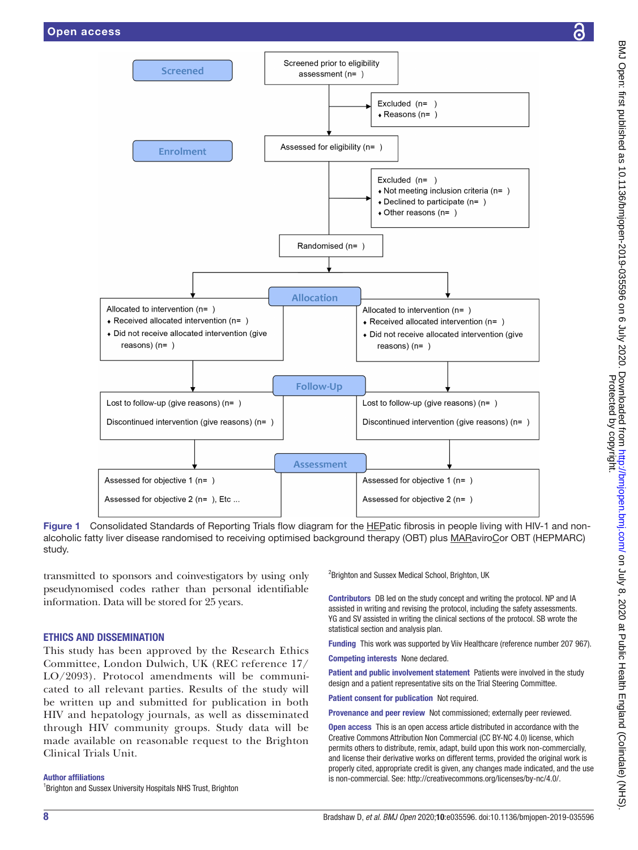

<span id="page-7-0"></span>Figure 1 Consolidated Standards of Reporting Trials flow diagram for the HEPatic fibrosis in people living with HIV-1 and nonalcoholic fatty liver disease randomised to receiving optimised background therapy (OBT) plus MARaviroCor OBT (HEPMARC) study.

transmitted to sponsors and coinvestigators by using only pseudynomised codes rather than personal identifiable information. Data will be stored for 25 years.

### Ethics and dissemination

This study has been approved by the Research Ethics Committee, London Dulwich, UK (REC reference 17/ LO/2093). Protocol amendments will be communicated to all relevant parties. Results of the study will be written up and submitted for publication in both HIV and hepatology journals, as well as disseminated through HIV community groups. Study data will be made available on reasonable request to the Brighton Clinical Trials Unit.

Author affiliations <sup>1</sup> Brighton and Sussex University Hospitals NHS Trust, Brighton <sup>2</sup>Brighton and Sussex Medical School, Brighton, UK

Contributors DB led on the study concept and writing the protocol. NP and IA assisted in writing and revising the protocol, including the safety assessments. YG and SV assisted in writing the clinical sections of the protocol. SB wrote the statistical section and analysis plan.

Funding This work was supported by Viiv Healthcare (reference number 207 967).

Competing interests None declared.

Patient and public involvement statement Patients were involved in the study design and a patient representative sits on the Trial Steering Committee.

Patient consent for publication Not required.

Provenance and peer review Not commissioned; externally peer reviewed.

Open access This is an open access article distributed in accordance with the Creative Commons Attribution Non Commercial (CC BY-NC 4.0) license, which permits others to distribute, remix, adapt, build upon this work non-commercially, and license their derivative works on different terms, provided the original work is properly cited, appropriate credit is given, any changes made indicated, and the use is non-commercial. See: [http://creativecommons.org/licenses/by-nc/4.0/.](http://creativecommons.org/licenses/by-nc/4.0/)